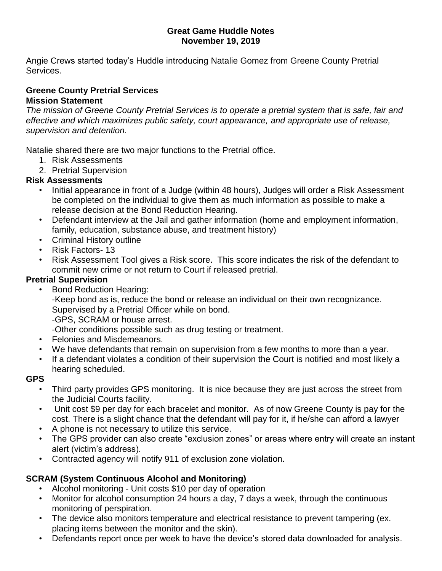#### **Great Game Huddle Notes November 19, 2019**

Angie Crews started today's Huddle introducing Natalie Gomez from Greene County Pretrial Services.

#### **Greene County Pretrial Services Mission Statement**

*The mission of Greene County Pretrial Services is to operate a pretrial system that is safe, fair and effective and which maximizes public safety, court appearance, and appropriate use of release, supervision and detention.*

Natalie shared there are two major functions to the Pretrial office.

- 1. Risk Assessments
- 2. Pretrial Supervision

## **Risk Assessments**

- Initial appearance in front of a Judge (within 48 hours), Judges will order a Risk Assessment be completed on the individual to give them as much information as possible to make a release decision at the Bond Reduction Hearing.
- Defendant interview at the Jail and gather information (home and employment information, family, education, substance abuse, and treatment history)
- Criminal History outline
- Risk Factors- 13
- Risk Assessment Tool gives a Risk score. This score indicates the risk of the defendant to commit new crime or not return to Court if released pretrial.

## **Pretrial Supervision**

• Bond Reduction Hearing:

-Keep bond as is, reduce the bond or release an individual on their own recognizance. Supervised by a Pretrial Officer while on bond.

-GPS, SCRAM or house arrest.

-Other conditions possible such as drug testing or treatment.

- Felonies and Misdemeanors.
- We have defendants that remain on supervision from a few months to more than a year.
- If a defendant violates a condition of their supervision the Court is notified and most likely a hearing scheduled.

## **GPS**

- Third party provides GPS monitoring. It is nice because they are just across the street from the Judicial Courts facility.
- Unit cost \$9 per day for each bracelet and monitor. As of now Greene County is pay for the cost. There is a slight chance that the defendant will pay for it, if he/she can afford a lawyer
- A phone is not necessary to utilize this service.
- The GPS provider can also create "exclusion zones" or areas where entry will create an instant alert (victim's address).
- Contracted agency will notify 911 of exclusion zone violation.

# **SCRAM (System Continuous Alcohol and Monitoring)**

- Alcohol monitoring Unit costs \$10 per day of operation
- Monitor for alcohol consumption 24 hours a day, 7 days a week, through the continuous monitoring of perspiration.
- The device also monitors temperature and electrical resistance to prevent tampering (ex. placing items between the monitor and the skin).
- Defendants report once per week to have the device's stored data downloaded for analysis.